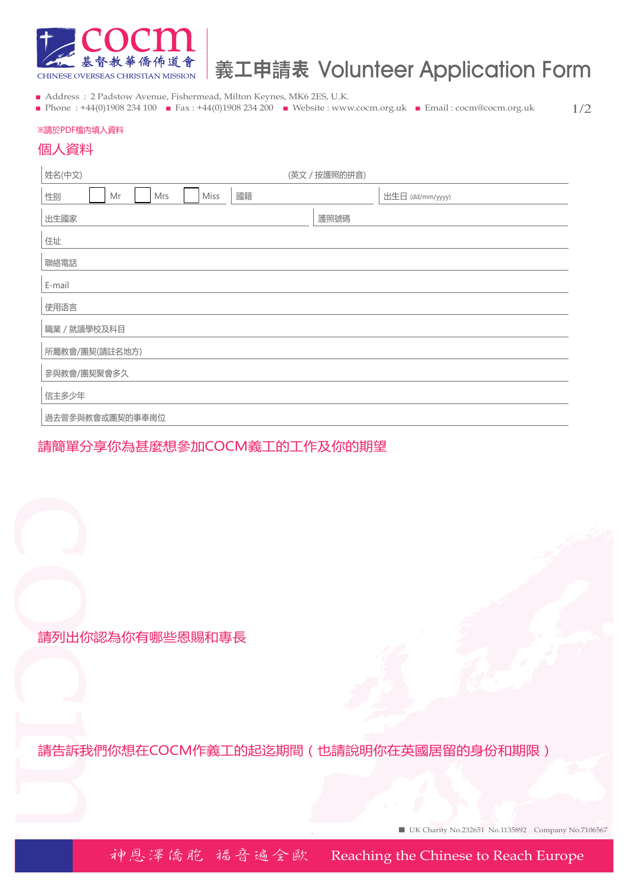

# 義工申請表 Volunteer Application Form

- Address : 2 Padstow Avenue, Fishermead, Milton Keynes, MK6 2ES, U.K.
- Phone : +44(0)1908 234 100 Fax : +44(0)1908 234 200 Website : www.cocm.org.uk Email : cocm@cocm.org.uk

1/2

#### ※請於PDF檔內填入資料

#### 個人資料

| 姓名(中文)                        | (英文 / 按護照的拼音)    |  |
|-------------------------------|------------------|--|
| 國籍<br>Miss<br>性别<br>Mr<br>Mrs | 出生日 (dd/mm/yyyy) |  |
| 出生國家                          | 護照號碼             |  |
| 住址                            |                  |  |
| 聯絡電話                          |                  |  |
| E-mail                        |                  |  |
| 使用语言                          |                  |  |
| 職業 / 就讀學校及科目                  |                  |  |
| 所屬教會/團契(請註名地方)                |                  |  |
| 參與教會/團契聚會多久                   |                  |  |
| 信主多少年                         |                  |  |
| 過去曾參與教會或團契的事奉崗位               |                  |  |

### 請簡單分享你為甚麼想參加COCM義工的工作及你的期望

請列出你認為你有哪些恩賜和專長

請告訴我們你想在COCM作義工的起迄期間(也請說明你在英國居留的身份和期限)

■ UK Charity No.232651 No.1135892 Company No.7106567